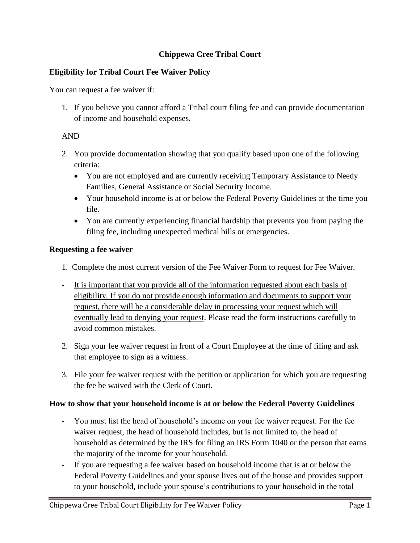# **Chippewa Cree Tribal Court**

# **Eligibility for Tribal Court Fee Waiver Policy**

You can request a fee waiver if:

1. If you believe you cannot afford a Tribal court filing fee and can provide documentation of income and household expenses.

### AND

- 2. You provide documentation showing that you qualify based upon one of the following criteria:
	- You are not employed and are currently receiving Temporary Assistance to Needy Families, General Assistance or Social Security Income.
	- Your household income is at or below the Federal Poverty Guidelines at the time you file.
	- You are currently experiencing financial hardship that prevents you from paying the filing fee, including unexpected medical bills or emergencies.

### **Requesting a fee waiver**

- 1. Complete the most current version of the Fee Waiver Form to request for Fee Waiver.
- It is important that you provide all of the information requested about each basis of eligibility. If you do not provide enough information and documents to support your request, there will be a considerable delay in processing your request which will eventually lead to denying your request. Please read the form instructions carefully to avoid common mistakes.
- 2. Sign your fee waiver request in front of a Court Employee at the time of filing and ask that employee to sign as a witness.
- 3. File your fee waiver request with the petition or application for which you are requesting the fee be waived with the Clerk of Court.

#### **How to show that your household income is at or below the Federal Poverty Guidelines**

- You must list the head of household's income on your fee waiver request. For the fee waiver request, the head of household includes, but is not limited to, the head of household as determined by the IRS for filing an IRS Form 1040 or the person that earns the majority of the income for your household.
- If you are requesting a fee waiver based on household income that is at or below the Federal Poverty Guidelines and your spouse lives out of the house and provides support to your household, include your spouse's contributions to your household in the total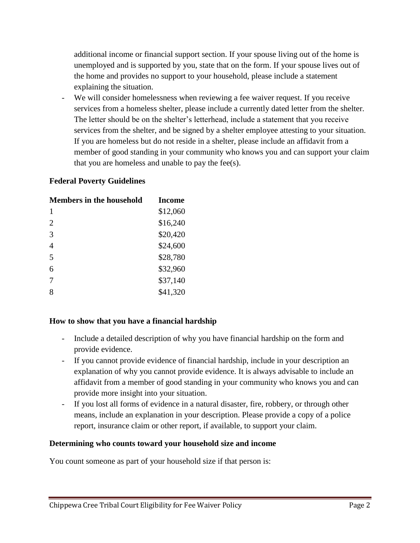additional income or financial support section. If your spouse living out of the home is unemployed and is supported by you, state that on the form. If your spouse lives out of the home and provides no support to your household, please include a statement explaining the situation.

We will consider homelessness when reviewing a fee waiver request. If you receive services from a homeless shelter, please include a currently dated letter from the shelter. The letter should be on the shelter's letterhead, include a statement that you receive services from the shelter, and be signed by a shelter employee attesting to your situation. If you are homeless but do not reside in a shelter, please include an affidavit from a member of good standing in your community who knows you and can support your claim that you are homeless and unable to pay the fee(s).

# **Federal Poverty Guidelines**

| <b>Members in the household</b> | Income   |
|---------------------------------|----------|
| 1                               | \$12,060 |
| $\overline{2}$                  | \$16,240 |
| 3                               | \$20,420 |
| $\overline{4}$                  | \$24,600 |
| 5                               | \$28,780 |
| 6                               | \$32,960 |
| 7                               | \$37,140 |
| 8                               | \$41,320 |

#### **How to show that you have a financial hardship**

- Include a detailed description of why you have financial hardship on the form and provide evidence.
- If you cannot provide evidence of financial hardship, include in your description an explanation of why you cannot provide evidence. It is always advisable to include an affidavit from a member of good standing in your community who knows you and can provide more insight into your situation.
- If you lost all forms of evidence in a natural disaster, fire, robbery, or through other means, include an explanation in your description. Please provide a copy of a police report, insurance claim or other report, if available, to support your claim.

#### **Determining who counts toward your household size and income**

You count someone as part of your household size if that person is: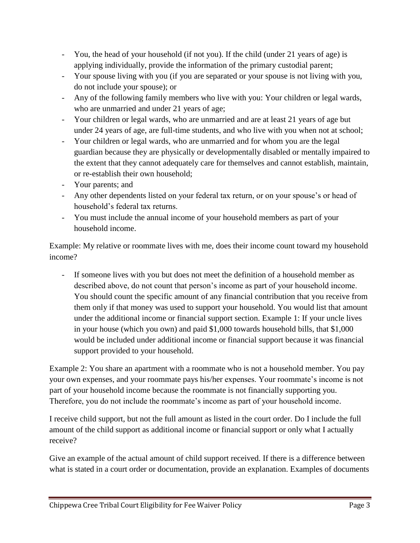- You, the head of your household (if not you). If the child (under 21 years of age) is applying individually, provide the information of the primary custodial parent;
- Your spouse living with you (if you are separated or your spouse is not living with you, do not include your spouse); or
- Any of the following family members who live with you: Your children or legal wards, who are unmarried and under 21 years of age;
- Your children or legal wards, who are unmarried and are at least 21 years of age but under 24 years of age, are full-time students, and who live with you when not at school;
- Your children or legal wards, who are unmarried and for whom you are the legal guardian because they are physically or developmentally disabled or mentally impaired to the extent that they cannot adequately care for themselves and cannot establish, maintain, or re-establish their own household;
- Your parents; and
- Any other dependents listed on your federal tax return, or on your spouse's or head of household's federal tax returns.
- You must include the annual income of your household members as part of your household income.

Example: My relative or roommate lives with me, does their income count toward my household income?

If someone lives with you but does not meet the definition of a household member as described above, do not count that person's income as part of your household income. You should count the specific amount of any financial contribution that you receive from them only if that money was used to support your household. You would list that amount under the additional income or financial support section. Example 1: If your uncle lives in your house (which you own) and paid \$1,000 towards household bills, that \$1,000 would be included under additional income or financial support because it was financial support provided to your household.

Example 2: You share an apartment with a roommate who is not a household member. You pay your own expenses, and your roommate pays his/her expenses. Your roommate's income is not part of your household income because the roommate is not financially supporting you. Therefore, you do not include the roommate's income as part of your household income.

I receive child support, but not the full amount as listed in the court order. Do I include the full amount of the child support as additional income or financial support or only what I actually receive?

Give an example of the actual amount of child support received. If there is a difference between what is stated in a court order or documentation, provide an explanation. Examples of documents